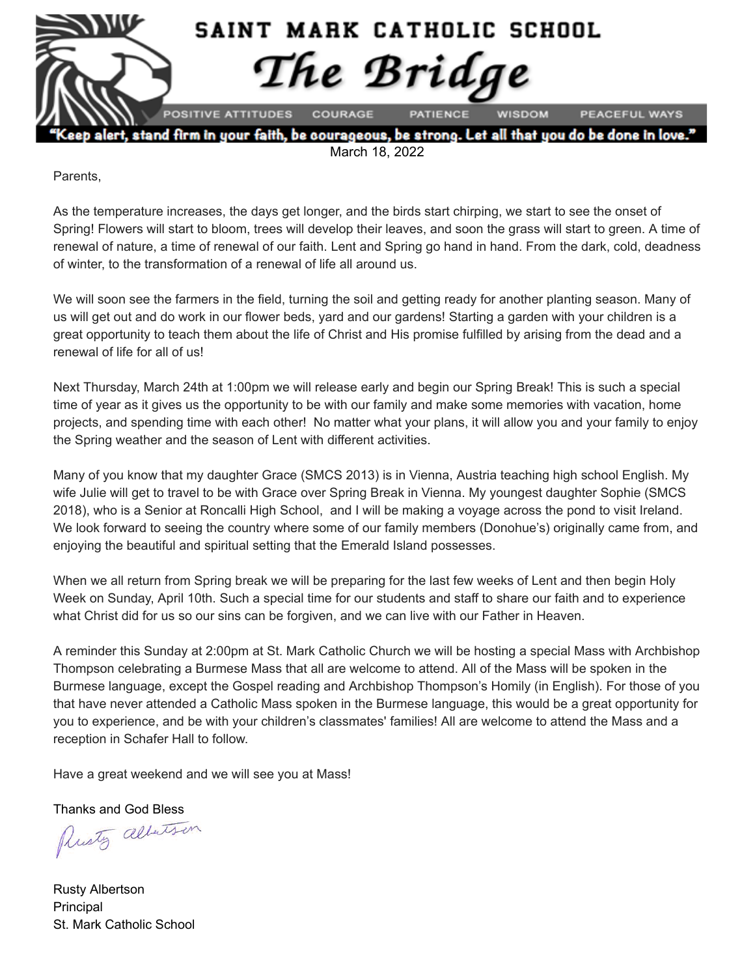

March 18, 2022

Parents,

As the temperature increases, the days get longer, and the birds start chirping, we start to see the onset of Spring! Flowers will start to bloom, trees will develop their leaves, and soon the grass will start to green. A time of renewal of nature, a time of renewal of our faith. Lent and Spring go hand in hand. From the dark, cold, deadness of winter, to the transformation of a renewal of life all around us.

We will soon see the farmers in the field, turning the soil and getting ready for another planting season. Many of us will get out and do work in our flower beds, yard and our gardens! Starting a garden with your children is a great opportunity to teach them about the life of Christ and His promise fulfilled by arising from the dead and a renewal of life for all of us!

Next Thursday, March 24th at 1:00pm we will release early and begin our Spring Break! This is such a special time of year as it gives us the opportunity to be with our family and make some memories with vacation, home projects, and spending time with each other! No matter what your plans, it will allow you and your family to enjoy the Spring weather and the season of Lent with different activities.

Many of you know that my daughter Grace (SMCS 2013) is in Vienna, Austria teaching high school English. My wife Julie will get to travel to be with Grace over Spring Break in Vienna. My youngest daughter Sophie (SMCS 2018), who is a Senior at Roncalli High School, and I will be making a voyage across the pond to visit Ireland. We look forward to seeing the country where some of our family members (Donohue's) originally came from, and enjoying the beautiful and spiritual setting that the Emerald Island possesses.

When we all return from Spring break we will be preparing for the last few weeks of Lent and then begin Holy Week on Sunday, April 10th. Such a special time for our students and staff to share our faith and to experience what Christ did for us so our sins can be forgiven, and we can live with our Father in Heaven.

A reminder this Sunday at 2:00pm at St. Mark Catholic Church we will be hosting a special Mass with Archbishop Thompson celebrating a Burmese Mass that all are welcome to attend. All of the Mass will be spoken in the Burmese language, except the Gospel reading and Archbishop Thompson's Homily (in English). For those of you that have never attended a Catholic Mass spoken in the Burmese language, this would be a great opportunity for you to experience, and be with your children's classmates' families! All are welcome to attend the Mass and a reception in Schafer Hall to follow.

Have a great weekend and we will see you at Mass!

Thanks and God Bless<br>Plusty albertson

Rusty Albertson Principal St. Mark Catholic School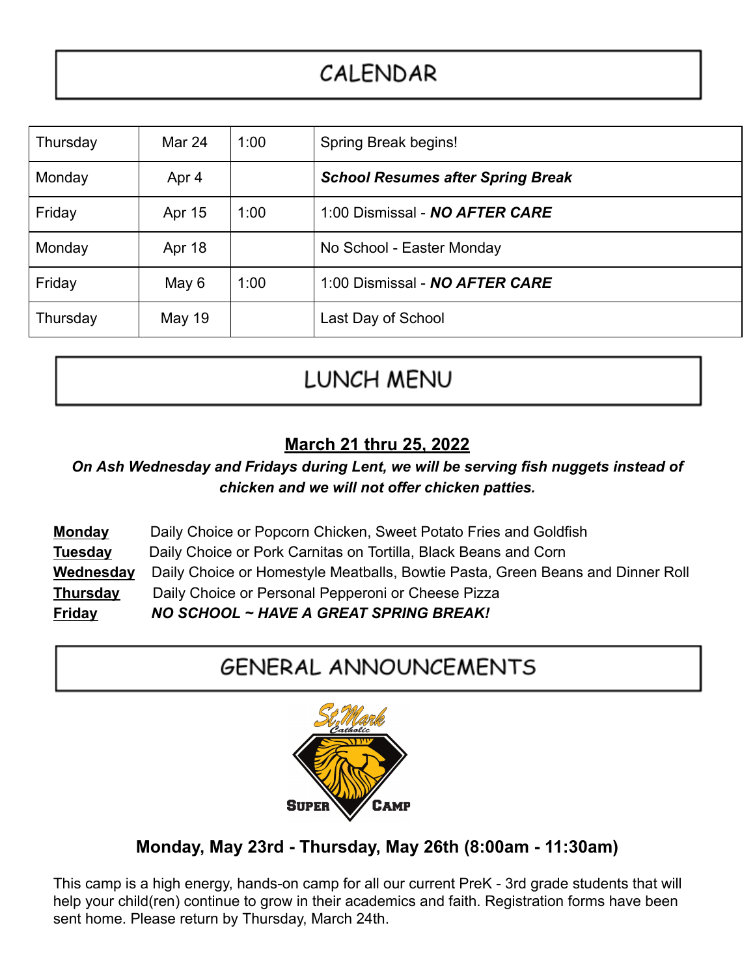## CALENDAR

| Thursday | Mar 24        | 1:00 | Spring Break begins!                     |
|----------|---------------|------|------------------------------------------|
| Monday   | Apr 4         |      | <b>School Resumes after Spring Break</b> |
| Friday   | Apr 15        | 1:00 | 1:00 Dismissal - NO AFTER CARE           |
| Monday   | Apr 18        |      | No School - Easter Monday                |
| Friday   | May 6         | 1:00 | 1:00 Dismissal - NO AFTER CARE           |
| Thursday | <b>May 19</b> |      | Last Day of School                       |

## LUNCH MENU

#### **March 21 thru 25, 2022**

#### *On Ash Wednesday and Fridays during Lent, we will be serving fish nuggets instead of chicken and we will not offer chicken patties.*

| <b>Monday</b> | Daily Choice or Popcorn Chicken, Sweet Potato Fries and Goldfish               |
|---------------|--------------------------------------------------------------------------------|
| Tuesday       | Daily Choice or Pork Carnitas on Tortilla, Black Beans and Corn                |
| Wednesday     | Daily Choice or Homestyle Meatballs, Bowtie Pasta, Green Beans and Dinner Roll |
| Thursday      | Daily Choice or Personal Pepperoni or Cheese Pizza                             |
| <b>Friday</b> | NO SCHOOL ~ HAVE A GREAT SPRING BREAK!                                         |

### **GENERAL ANNOUNCEMENTS**



#### **Monday, May 23rd - Thursday, May 26th (8:00am - 11:30am)**

This camp is a high energy, hands-on camp for all our current PreK - 3rd grade students that will help your child(ren) continue to grow in their academics and faith. Registration forms have been sent home. Please return by Thursday, March 24th.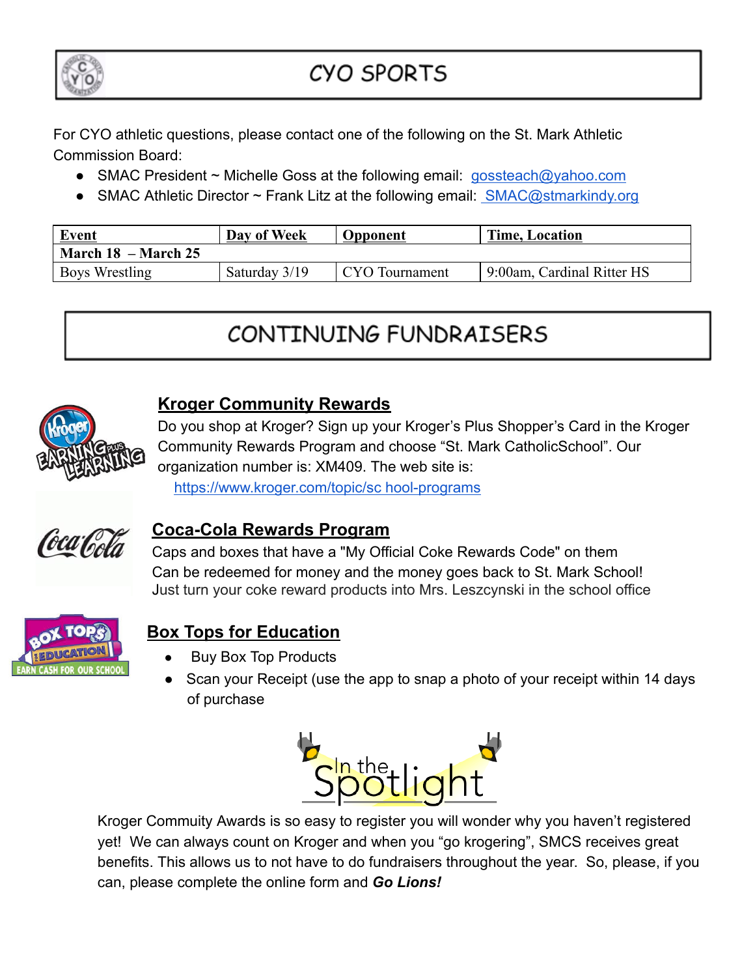

## **CYO SPORTS**

For CYO athletic questions, please contact one of the following on the St. Mark Athletic Commission Board:

- SMAC President ~ Michelle Goss at the following email: [gossteach@yahoo.com](mailto:gossteach@yahoo.com)
- SMAC Athletic Director  $\sim$  Frank Litz at the following email: [SMAC@stmarkindy.org](mailto:SMAC@stmarkindy.org)

| <b>Event</b>            | Day of Week   | Opponent       | <b>Time, Location</b>      |  |  |  |
|-------------------------|---------------|----------------|----------------------------|--|--|--|
| March $18$ – March $25$ |               |                |                            |  |  |  |
| <b>Boys Wrestling</b>   | Saturday 3/19 | CYO Tournament | 9:00am, Cardinal Ritter HS |  |  |  |

# CONTINUING FUNDRAISERS



#### **Kroger Community Rewards**

Do you shop at Kroger? Sign up your Kroger's Plus Shopper's Card in the Kroger Community Rewards Program and choose "St. Mark CatholicSchool". Our organization number is: XM409. The web site is: [https://www.kroger.com/topic/sc hool-programs](https://www.kroger.com/topic/sc)



#### **Coca-Cola Rewards Program**

Caps and boxes that have a "My Official Coke Rewards Code" on them Can be redeemed for money and the money goes back to St. Mark School! Just turn your coke reward products into Mrs. Leszcynski in the school office



### **Box Tops for Education**

- **Buy Box Top Products**
- Scan your Receipt (use the app to snap a photo of your receipt within 14 days of purchase



Kroger Commuity Awards is so easy to register you will wonder why you haven't registered yet! We can always count on Kroger and when you "go krogering", SMCS receives great benefits. This allows us to not have to do fundraisers throughout the year. So, please, if you can, please complete the online form and *Go Lions!*